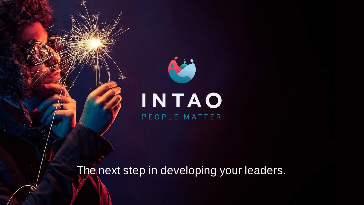# INTAO PEOPLE MATTER

**ALC** 

The next step in developing your leaders.

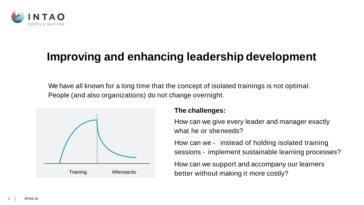

## **Improving and enhancing leadership development**

How can we give every leader and manager exactly what he or sheneeds?

### **The challenges:**

- How can we instead of holding isolated training sessions - implement sustainable learning processes?
- How can we support and accompany our learners



We have all known for a long time that the concept of isolated trainings is not optimal. People (and also organizations) do not change overnight.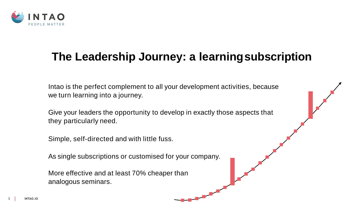

## **The Leadership Journey: a learningsubscription**

Intao is the perfect complement to all your development activities, because we turn learning into a journey.

Give your leaders the opportunity to develop in exactly those aspects that they particularly need.

Simple, self-directed and with little fuss.

As single subscriptions or customised for your company.

More effective and at least 70% cheaper than analogous seminars.



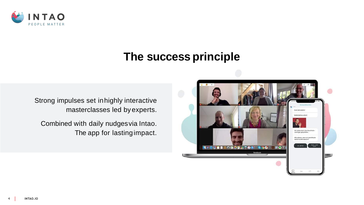

### **The success principle**

Strong impulses set inhighly interactive masterclasses led byexperts.

Combined with daily nudgesvia Intao. The app for lastingimpact.

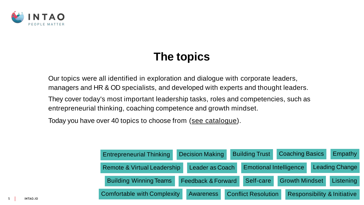

### **The topics**

- 
- 
- 
- 

Our topics were all identified in exploration and dialogue with corporate leaders, managers and HR & OD specialists, and developed with experts and thought leaders.

They cover today's most important leadership tasks, roles and competencies, such as entrepreneurial thinking, coaching competence and growth mindset.

Today you have over 40 topics to choose from (see [catalogue](https://intao.io/wp-content/uploads/2020/10/LJ_Catalogue_END.pdf)).

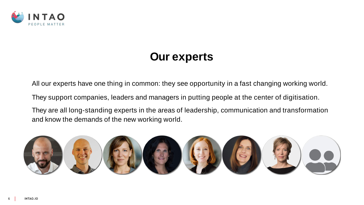

### **Our experts**

All our experts have one thing in common: they see opportunity in a fast changing working world.

They support companies, leaders and managers in putting people at the center of digitisation.

They are all long-standing experts in the areas of leadership, communication and transformation and know the demands of the new working world.



- 
- 
-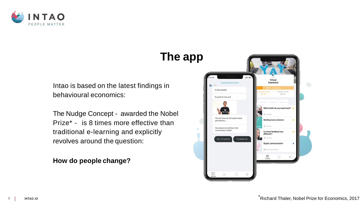



### **The app**

Intao is based on the latest findings in behavioural economics:

The Nudge Concept - awarded the Nobel Prize\* - is 8 times more effective than traditional e-learning and explicitly revolves around the question:

**How do people change?**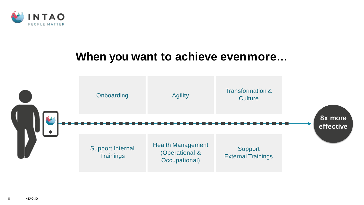



### **When you want to achieve evenmore...**